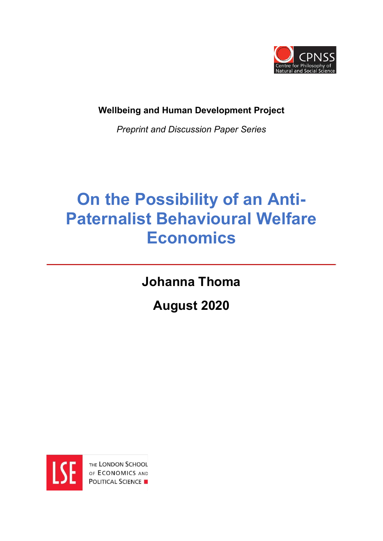

**Wellbeing and Human Development Project** 

*Preprint and Discussion Paper Series*

# **On the Possibility of an Anti-Paternalist Behavioural Welfare Economics**

**Johanna Thoma**

**August 2020**

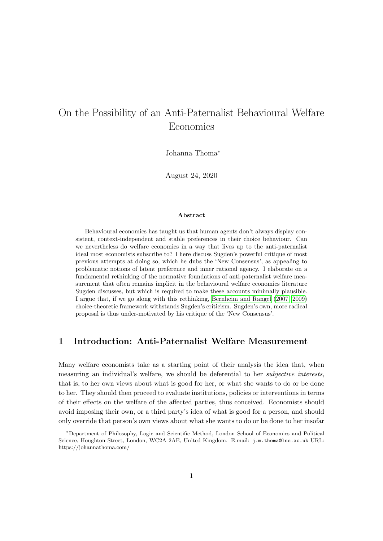## On the Possibility of an Anti-Paternalist Behavioural Welfare Economics

Johanna Thoma<sup>\*</sup>

August 24, 2020

#### Abstract

Behavioural economics has taught us that human agents don't always display consistent, context-independent and stable preferences in their choice behaviour. Can we nevertheless do welfare economics in a way that lives up to the anti-paternalist ideal most economists subscribe to? I here discuss Sugden's powerful critique of most previous attempts at doing so, which he dubs the 'New Consensus', as appealing to problematic notions of latent preference and inner rational agency. I elaborate on a fundamental rethinking of the normative foundations of anti-paternalist welfare measurement that often remains implicit in the behavioural welfare economics literature Sugden discusses, but which is required to make these accounts minimally plausible. I argue that, if we go along with this rethinking, Bernheim and Rangel (2007, 2009) choice-theoretic framework withstands Sugden's criticism. Sugden's own, more radical proposal is thus under-motivated by his critique of the 'New Consensus'.

#### 1 Introduction: Anti-Paternalist Welfare Measurement

Many welfare economists take as a starting point of their analysis the idea that, when measuring an individual's welfare, we should be deferential to her *subjective interests*, that is, to her own views about what is good for her, or what she wants to do or be done to her. They should then proceed to evaluate institutions, policies or interventions in terms of their effects on the welfare of the affected parties, thus conceived. Economists should avoid imposing their own, or a third party's idea of what is good for a person, and should only override that person's own views about what she wants to do or be done to her insofar

<sup>⇤</sup>Department of Philosophy, Logic and Scientific Method, London School of Economics and Political Science, Houghton Street, London, WC2A 2AE, United Kingdom. E-mail: j.m.thoma@lse.ac.uk URL: https://johannathoma.com/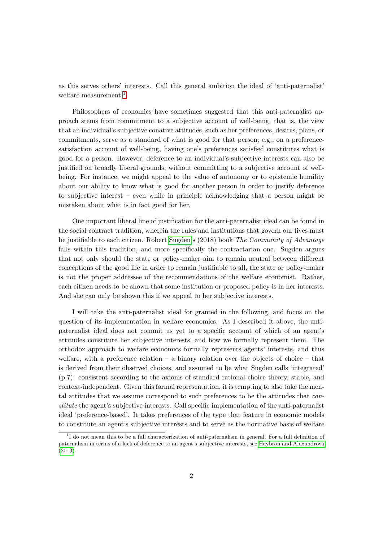as this serves others' interests. Call this general ambition the ideal of 'anti-paternalist' welfare measurement.<sup>11</sup>

Philosophers of economics have sometimes suggested that this anti-paternalist approach stems from commitment to a subjective account of well-being, that is, the view that an individual's subjective conative attitudes, such as her preferences, desires, plans, or commitments, serve as a standard of what is good for that person; e.g., on a preferencesatisfaction account of well-being, having one's preferences satisfied constitutes what is good for a person. However, deference to an individual's subjective interests can also be justified on broadly liberal grounds, without committing to a subjective account of wellbeing. For instance, we might appeal to the value of autonomy or to epistemic humility about our ability to know what is good for another person in order to justify deference to subjective interest – even while in principle acknowledging that a person might be mistaken about what is in fact good for her.

One important liberal line of justification for the anti-paternalist ideal can be found in the social contract tradition, wherein the rules and institutions that govern our lives must be justifiable to each citizen. Robert Sugden's (2018) book *The Community of Advantage* falls within this tradition, and more specifically the contractarian one. Sugden argues that not only should the state or policy-maker aim to remain neutral between different conceptions of the good life in order to remain justifiable to all, the state or policy-maker is not the proper addressee of the recommendations of the welfare economist. Rather, each citizen needs to be shown that some institution or proposed policy is in her interests. And she can only be shown this if we appeal to her subjective interests.

I will take the anti-paternalist ideal for granted in the following, and focus on the question of its implementation in welfare economics. As I described it above, the antipaternalist ideal does not commit us yet to a specific account of which of an agent's attitudes constitute her subjective interests, and how we formally represent them. The orthodox approach to welfare economics formally represents agents' interests, and thus welfare, with a preference relation  $-$  a binary relation over the objects of choice  $-$  that is derived from their observed choices, and assumed to be what Sugden calls 'integrated' (p.7): consistent according to the axioms of standard rational choice theory, stable, and context-independent. Given this formal representation, it is tempting to also take the mental attitudes that we assume correspond to such preferences to be the attitudes that *constitute* the agent's subjective interests. Call specific implementation of the anti-paternalist ideal 'preference-based'. It takes preferences of the type that feature in economic models to constitute an agent's subjective interests and to serve as the normative basis of welfare

<sup>&</sup>lt;sup>1</sup>I do not mean this to be a full characterization of anti-paternalism in general. For a full definition of paternalism in terms of a lack of deference to an agent's subjective interests, see Haybron and Alexandrova  $(2013)$ .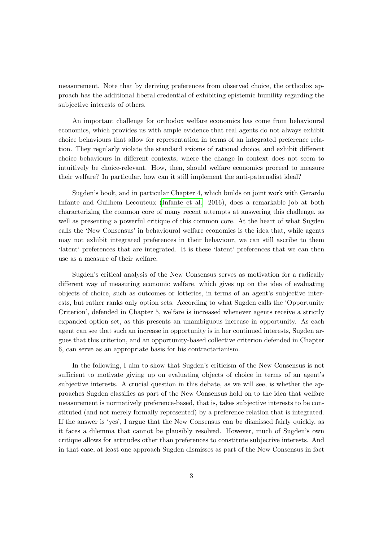measurement. Note that by deriving preferences from observed choice, the orthodox approach has the additional liberal credential of exhibiting epistemic humility regarding the subjective interests of others.

An important challenge for orthodox welfare economics has come from behavioural economics, which provides us with ample evidence that real agents do not always exhibit choice behaviours that allow for representation in terms of an integrated preference relation. They regularly violate the standard axioms of rational choice, and exhibit different choice behaviours in different contexts, where the change in context does not seem to intuitively be choice-relevant. How, then, should welfare economics proceed to measure their welfare? In particular, how can it still implement the anti-paternalist ideal?

Sugden's book, and in particular Chapter 4, which builds on joint work with Gerardo Infante and Guilhem Lecouteux (Infante et al. 2016), does a remarkable job at both characterizing the common core of many recent attempts at answering this challenge, as well as presenting a powerful critique of this common core. At the heart of what Sugden calls the 'New Consensus' in behavioural welfare economics is the idea that, while agents may not exhibit integrated preferences in their behaviour, we can still ascribe to them 'latent' preferences that are integrated. It is these 'latent' preferences that we can then use as a measure of their welfare.

Sugden's critical analysis of the New Consensus serves as motivation for a radically different way of measuring economic welfare, which gives up on the idea of evaluating objects of choice, such as outcomes or lotteries, in terms of an agent's subjective interests, but rather ranks only option sets. According to what Sugden calls the 'Opportunity Criterion', defended in Chapter 5, welfare is increased whenever agents receive a strictly expanded option set, as this presents an unambiguous increase in opportunity. As each agent can see that such an increase in opportunity is in her continued interests, Sugden argues that this criterion, and an opportunity-based collective criterion defended in Chapter 6, can serve as an appropriate basis for his contractarianism.

In the following, I aim to show that Sugden's criticism of the New Consensus is not sufficient to motivate giving up on evaluating objects of choice in terms of an agent's subjective interests. A crucial question in this debate, as we will see, is whether the approaches Sugden classifies as part of the New Consensus hold on to the idea that welfare measurement is normatively preference-based, that is, takes subjective interests to be constituted (and not merely formally represented) by a preference relation that is integrated. If the answer is 'yes', I argue that the New Consensus can be dismissed fairly quickly, as it faces a dilemma that cannot be plausibly resolved. However, much of Sugden's own critique allows for attitudes other than preferences to constitute subjective interests. And in that case, at least one approach Sugden dismisses as part of the New Consensus in fact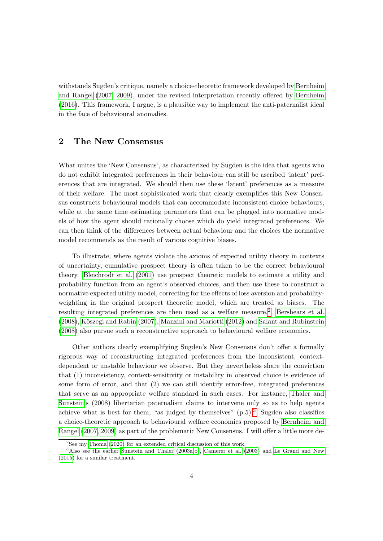withstands Sugden's critique, namely a choice-theoretic framework developed by Bernheim and Rangel  $(2007, 2009)$ , under the revised interpretation recently offered by **Bernheim** (2016). This framework, I argue, is a plausible way to implement the anti-paternalist ideal in the face of behavioural anomalies.

#### 2 The New Consensus

What unites the 'New Consensus', as characterized by Sugden is the idea that agents who do not exhibit integrated preferences in their behaviour can still be ascribed 'latent' preferences that are integrated. We should then use these 'latent' preferences as a measure of their welfare. The most sophisticated work that clearly exemplifies this New Consensus constructs behavioural models that can accommodate inconsistent choice behaviours, while at the same time estimating parameters that can be plugged into normative models of how the agent should rationally choose which do yield integrated preferences. We can then think of the differences between actual behaviour and the choices the normative model recommends as the result of various cognitive biases.

To illustrate, where agents violate the axioms of expected utility theory in contexts of uncertainty, cumulative prospect theory is often taken to be the correct behavioural theory. Bleichrodt et al.  $(2001)$  use prospect theoretic models to estimate a utility and probability function from an agent's observed choices, and then use these to construct a normative expected utility model, correcting for the effects of loss aversion and probabilityweighting in the original prospect theoretic model, which are treated as biases. The resulting integrated preferences are then used as a welfare measure.<sup>[2]</sup> Bershears et al. (2008), Köszegi and Rabin (2007), Manzini and Mariotti (2012) and Salant and Rubinstein (2008) also pursue such a reconstructive approach to behavioural welfare economics.

Other authors clearly exemplifying Sugden's New Consensus don't offer a formally rigorous way of reconstructing integrated preferences from the inconsistent, contextdependent or unstable behaviour we observe. But they nevertheless share the conviction that (1) inconsistency, context-sensitivity or instability in observed choice is evidence of some form of error, and that (2) we can still identify error-free, integrated preferences that serve as an appropriate welfare standard in such cases. For instance, Thaler and Sunstein's (2008) libertarian paternalism claims to intervene only so as to help agents achieve what is best for them, "as judged by themselves"  $(p.5)$ . Sugden also classifies a choice-theoretic approach to behavioural welfare economics proposed by Bernheim and Rangel (2007, 2009) as part of the problematic New Consensus. I will offer a little more de-

<sup>&</sup>lt;sup>2</sup>See my Thoma  $(2020)$  for an extended critical discussion of this work.

<sup>&</sup>lt;sup>3</sup>Also see the earlier Sunstein and Thaler  $(2003a\text{ b})$ , Camerer et al.  $(2003)$  and Le Grand and New (2015) for a similar treatment.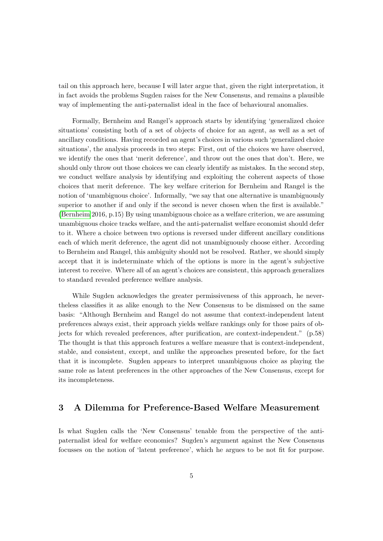tail on this approach here, because I will later argue that, given the right interpretation, it in fact avoids the problems Sugden raises for the New Consensus, and remains a plausible way of implementing the anti-paternalist ideal in the face of behavioural anomalies.

Formally, Bernheim and Rangel's approach starts by identifying 'generalized choice situations' consisting both of a set of objects of choice for an agent, as well as a set of ancillary conditions. Having recorded an agent's choices in various such 'generalized choice situations', the analysis proceeds in two steps: First, out of the choices we have observed, we identify the ones that 'merit deference', and throw out the ones that don't. Here, we should only throw out those choices we can clearly identify as mistakes. In the second step, we conduct welfare analysis by identifying and exploiting the coherent aspects of those choices that merit deference. The key welfare criterion for Bernheim and Rangel is the notion of 'unambiguous choice'. Informally, "we say that one alternative is unambiguously superior to another if and only if the second is never chosen when the first is available." (Bernheim 2016, p.15) By using unambiguous choice as a welfare criterion, we are assuming unambiguous choice tracks welfare, and the anti-paternalist welfare economist should defer to it. Where a choice between two options is reversed under different ancillary conditions each of which merit deference, the agent did not unambiguously choose either. According to Bernheim and Rangel, this ambiguity should not be resolved. Rather, we should simply accept that it is indeterminate which of the options is more in the agent's subjective interest to receive. Where all of an agent's choices are consistent, this approach generalizes to standard revealed preference welfare analysis.

While Sugden acknowledges the greater permissiveness of this approach, he nevertheless classifies it as alike enough to the New Consensus to be dismissed on the same basis: "Although Bernheim and Rangel do not assume that context-independent latent preferences always exist, their approach yields welfare rankings only for those pairs of objects for which revealed preferences, after purification, are context-independent." (p.58) The thought is that this approach features a welfare measure that is context-independent, stable, and consistent, except, and unlike the approaches presented before, for the fact that it is incomplete. Sugden appears to interpret unambiguous choice as playing the same role as latent preferences in the other approaches of the New Consensus, except for its incompleteness.

#### 3 A Dilemma for Preference-Based Welfare Measurement

Is what Sugden calls the 'New Consensus' tenable from the perspective of the antipaternalist ideal for welfare economics? Sugden's argument against the New Consensus focusses on the notion of 'latent preference', which he argues to be not fit for purpose.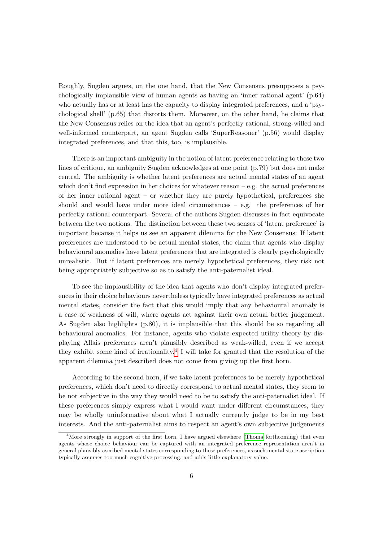Roughly, Sugden argues, on the one hand, that the New Consensus presupposes a psychologically implausible view of human agents as having an 'inner rational agent'  $(p.64)$ who actually has or at least has the capacity to display integrated preferences, and a 'psychological shell' (p.65) that distorts them. Moreover, on the other hand, he claims that the New Consensus relies on the idea that an agent's perfectly rational, strong-willed and well-informed counterpart, an agent Sugden calls 'SuperReasoner' (p.56) would display integrated preferences, and that this, too, is implausible.

There is an important ambiguity in the notion of latent preference relating to these two lines of critique, an ambiguity Sugden acknowledges at one point (p.79) but does not make central. The ambiguity is whether latent preferences are actual mental states of an agent which don't find expression in her choices for whatever reason – e.g. the actual preferences of her inner rational agent – or whether they are purely hypothetical, preferences she should and would have under more ideal circumstances – e.g. the preferences of her perfectly rational counterpart. Several of the authors Sugden discusses in fact equivocate between the two notions. The distinction between these two senses of 'latent preference' is important because it helps us see an apparent dilemma for the New Consensus: If latent preferences are understood to be actual mental states, the claim that agents who display behavioural anomalies have latent preferences that are integrated is clearly psychologically unrealistic. But if latent preferences are merely hypothetical preferences, they risk not being appropriately subjective so as to satisfy the anti-paternalist ideal.

To see the implausibility of the idea that agents who don't display integrated preferences in their choice behaviours nevertheless typically have integrated preferences as actual mental states, consider the fact that this would imply that any behavioural anomaly is a case of weakness of will, where agents act against their own actual better judgement. As Sugden also highlights (p.80), it is implausible that this should be so regarding all behavioural anomalies. For instance, agents who violate expected utility theory by displaying Allais preferences aren't plausibly described as weak-willed, even if we accept they exhibit some kind of irrationality.<sup>4</sup> I will take for granted that the resolution of the apparent dilemma just described does not come from giving up the first horn.

According to the second horn, if we take latent preferences to be merely hypothetical preferences, which don't need to directly correspond to actual mental states, they seem to be not subjective in the way they would need to be to satisfy the anti-paternalist ideal. If these preferences simply express what I would want under different circumstances, they may be wholly uninformative about what I actually currently judge to be in my best interests. And the anti-paternalist aims to respect an agent's own subjective judgements

<sup>&</sup>lt;sup>4</sup>More strongly in support of the first horn, I have argued elsewhere  $(Thoma$  forthcoming) that even agents whose choice behaviour can be captured with an integrated preference representation aren't in general plausibly ascribed mental states corresponding to these preferences, as such mental state ascription typically assumes too much cognitive processing, and adds little explanatory value.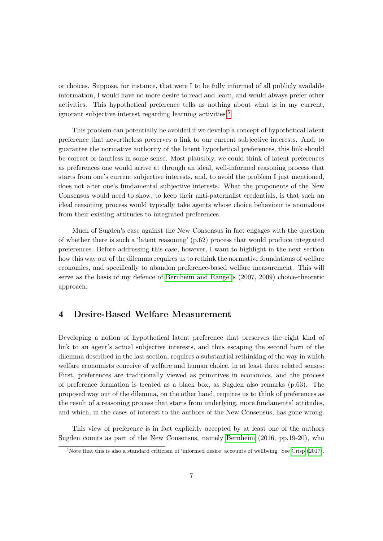or choices. Suppose, for instance, that were I to be fully informed of all publicly available information, I would have no more desire to read and learn, and would always prefer other activities. This hypothetical preference tells us nothing about what is in my current, ignorant subjective interest regarding learning activities.<sup>5</sup>

This problem can potentially be avoided if we develop a concept of hypothetical latent preference that nevertheless preserves a link to our current subjective interests. And, to guarantee the normative authority of the latent hypothetical preferences, this link should be correct or faultless in some sense. Most plausibly, we could think of latent preferences as preferences one would arrive at through an ideal, well-informed reasoning process that starts from one's current subjective interests, and, to avoid the problem I just mentioned, does not alter one's fundamental subjective interests. What the proponents of the New Consensus would need to show, to keep their anti-paternalist credentials, is that such an ideal reasoning process would typically take agents whose choice behaviour is anomalous from their existing attitudes to integrated preferences.

Much of Sugden's case against the New Consensus in fact engages with the question of whether there is such a 'latent reasoning' (p.62) process that would produce integrated preferences. Before addressing this case, however, I want to highlight in the next section how this way out of the dilemma requires us to rethink the normative foundations of welfare economics, and specifically to abandon preference-based welfare measurement. This will serve as the basis of my defence of **Bernheim and Rangel's** (2007, 2009) choice-theoretic approach.

#### 4 Desire-Based Welfare Measurement

Developing a notion of hypothetical latent preference that preserves the right kind of link to an agent's actual subjective interests, and thus escaping the second horn of the dilemma described in the last section, requires a substantial rethinking of the way in which welfare economists conceive of welfare and human choice, in at least three related senses: First, preferences are traditionally viewed as primitives in economics, and the process of preference formation is treated as a black box, as Sugden also remarks (p.63). The proposed way out of the dilemma, on the other hand, requires us to think of preferences as the result of a reasoning process that starts from underlying, more fundamental attitudes, and which, in the cases of interest to the authors of the New Consensus, has gone wrong.

This view of preference is in fact explicitly accepted by at least one of the authors Sugden counts as part of the New Consensus, namely **Bernheim** (2016, pp.19-20), who

<sup>&</sup>lt;sup>5</sup>Note that this is also a standard criticism of 'informed desire' accounts of wellbeing. See Crisp (2017).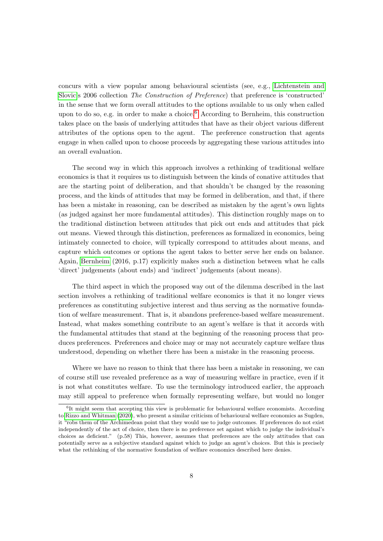concurs with a view popular among behavioural scientists (see, e.g., Lichtenstein and Slovic's 2006 collection *The Construction of Preference*) that preference is 'constructed' in the sense that we form overall attitudes to the options available to us only when called upon to do so, e.g. in order to make a choice.<sup>6</sup> According to Bernheim, this construction takes place on the basis of underlying attitudes that have as their object various different attributes of the options open to the agent. The preference construction that agents engage in when called upon to choose proceeds by aggregating these various attitudes into an overall evaluation.

The second way in which this approach involves a rethinking of traditional welfare economics is that it requires us to distinguish between the kinds of conative attitudes that are the starting point of deliberation, and that shouldn't be changed by the reasoning process, and the kinds of attitudes that may be formed in deliberation, and that, if there has been a mistake in reasoning, can be described as mistaken by the agent's own lights (as judged against her more fundamental attitudes). This distinction roughly maps on to the traditional distinction between attitudes that pick out ends and attitudes that pick out means. Viewed through this distinction, preferences as formalized in economics, being intimately connected to choice, will typically correspond to attitudes about means, and capture which outcomes or options the agent takes to better serve her ends on balance. Again, Bernheim (2016, p.17) explicitly makes such a distinction between what he calls 'direct' judgements (about ends) and 'indirect' judgements (about means).

The third aspect in which the proposed way out of the dilemma described in the last section involves a rethinking of traditional welfare economics is that it no longer views preferences as constituting subjective interest and thus serving as the normative foundation of welfare measurement. That is, it abandons preference-based welfare measurement. Instead, what makes something contribute to an agent's welfare is that it accords with the fundamental attitudes that stand at the beginning of the reasoning process that produces preferences. Preferences and choice may or may not accurately capture welfare thus understood, depending on whether there has been a mistake in the reasoning process.

Where we have no reason to think that there has been a mistake in reasoning, we can of course still use revealed preference as a way of measuring welfare in practice, even if it is not what constitutes welfare. To use the terminology introduced earlier, the approach may still appeal to preference when formally representing welfare, but would no longer

<sup>&</sup>lt;sup>6</sup>It might seem that accepting this view is problematic for behavioural welfare economists. According to  $Rizzo$  and Whitman  $(2020)$ , who present a similar criticism of behavioural welfare economics as Sugden, it "robs them of the Archimedean point that they would use to judge outcomes. If preferences do not exist independently of the act of choice, then there is no preference set against which to judge the individual's choices as deficient." (p.58) This, however, assumes that preferences are the only attitudes that can potentially serve as a subjective standard against which to judge an agent's choices. But this is precisely what the rethinking of the normative foundation of welfare economics described here denies.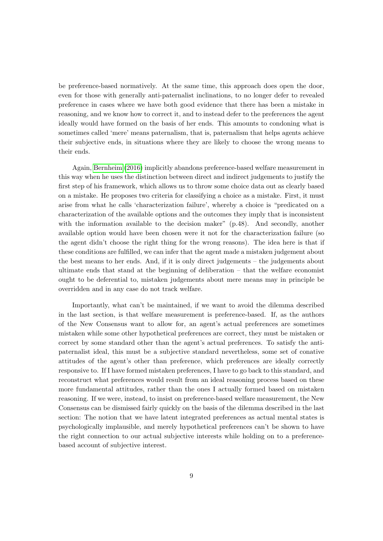be preference-based normatively. At the same time, this approach does open the door, even for those with generally anti-paternalist inclinations, to no longer defer to revealed preference in cases where we have both good evidence that there has been a mistake in reasoning, and we know how to correct it, and to instead defer to the preferences the agent ideally would have formed on the basis of her ends. This amounts to condoning what is sometimes called 'mere' means paternalism, that is, paternalism that helps agents achieve their subjective ends, in situations where they are likely to choose the wrong means to their ends.

Again, Bernheim (2016) implicitly abandons preference-based welfare measurement in this way when he uses the distinction between direct and indirect judgements to justify the first step of his framework, which allows us to throw some choice data out as clearly based on a mistake. He proposes two criteria for classifying a choice as a mistake. First, it must arise from what he calls 'characterization failure', whereby a choice is "predicated on a characterization of the available options and the outcomes they imply that is inconsistent with the information available to the decision maker" (p.48). And secondly, another available option would have been chosen were it not for the characterization failure (so the agent didn't choose the right thing for the wrong reasons). The idea here is that if these conditions are fulfilled, we can infer that the agent made a mistaken judgement about the best means to her ends. And, if it is only direct judgements – the judgements about ultimate ends that stand at the beginning of deliberation – that the welfare economist ought to be deferential to, mistaken judgements about mere means may in principle be overridden and in any case do not track welfare.

Importantly, what can't be maintained, if we want to avoid the dilemma described in the last section, is that welfare measurement is preference-based. If, as the authors of the New Consensus want to allow for, an agent's actual preferences are sometimes mistaken while some other hypothetical preferences are correct, they must be mistaken or correct by some standard other than the agent's actual preferences. To satisfy the antipaternalist ideal, this must be a subjective standard nevertheless, some set of conative attitudes of the agent's other than preference, which preferences are ideally correctly responsive to. If I have formed mistaken preferences, I have to go back to this standard, and reconstruct what preferences would result from an ideal reasoning process based on these more fundamental attitudes, rather than the ones I actually formed based on mistaken reasoning. If we were, instead, to insist on preference-based welfare measurement, the New Consensus can be dismissed fairly quickly on the basis of the dilemma described in the last section: The notion that we have latent integrated preferences as actual mental states is psychologically implausible, and merely hypothetical preferences can't be shown to have the right connection to our actual subjective interests while holding on to a preferencebased account of subjective interest.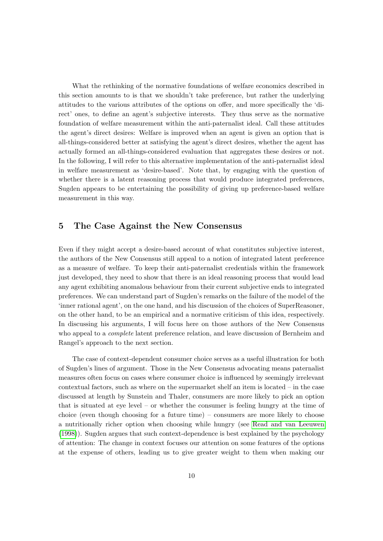What the rethinking of the normative foundations of welfare economics described in this section amounts to is that we shouldn't take preference, but rather the underlying attitudes to the various attributes of the options on offer, and more specifically the 'direct' ones, to define an agent's subjective interests. They thus serve as the normative foundation of welfare measurement within the anti-paternalist ideal. Call these attitudes the agent's direct desires: Welfare is improved when an agent is given an option that is all-things-considered better at satisfying the agent's direct desires, whether the agent has actually formed an all-things-considered evaluation that aggregates these desires or not. In the following, I will refer to this alternative implementation of the anti-paternalist ideal in welfare measurement as 'desire-based'. Note that, by engaging with the question of whether there is a latent reasoning process that would produce integrated preferences, Sugden appears to be entertaining the possibility of giving up preference-based welfare measurement in this way.

#### 5 The Case Against the New Consensus

Even if they might accept a desire-based account of what constitutes subjective interest, the authors of the New Consensus still appeal to a notion of integrated latent preference as a measure of welfare. To keep their anti-paternalist credentials within the framework just developed, they need to show that there is an ideal reasoning process that would lead any agent exhibiting anomalous behaviour from their current subjective ends to integrated preferences. We can understand part of Sugden's remarks on the failure of the model of the 'inner rational agent', on the one hand, and his discussion of the choices of SuperReasoner, on the other hand, to be an empirical and a normative criticism of this idea, respectively. In discussing his arguments, I will focus here on those authors of the New Consensus who appeal to a *complete* latent preference relation, and leave discussion of Bernheim and Rangel's approach to the next section.

The case of context-dependent consumer choice serves as a useful illustration for both of Sugden's lines of argument. Those in the New Consensus advocating means paternalist measures often focus on cases where consumer choice is influenced by seemingly irrelevant contextual factors, such as where on the supermarket shelf an item is located – in the case discussed at length by Sunstein and Thaler, consumers are more likely to pick an option that is situated at eye level – or whether the consumer is feeling hungry at the time of choice (even though choosing for a future time) – consumers are more likely to choose a nutritionally richer option when choosing while hungry (see Read and van Leeuwen (1998)). Sugden argues that such context-dependence is best explained by the psychology of attention: The change in context focuses our attention on some features of the options at the expense of others, leading us to give greater weight to them when making our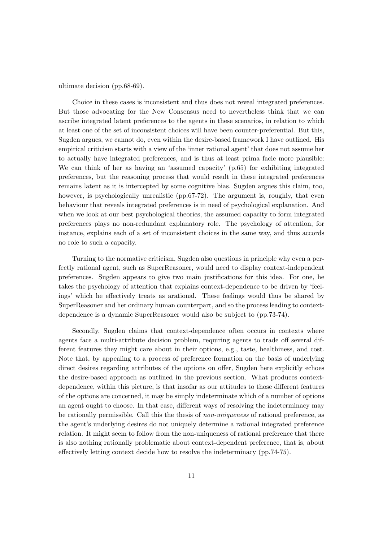ultimate decision (pp.68-69).

Choice in these cases is inconsistent and thus does not reveal integrated preferences. But those advocating for the New Consensus need to nevertheless think that we can ascribe integrated latent preferences to the agents in these scenarios, in relation to which at least one of the set of inconsistent choices will have been counter-preferential. But this, Sugden argues, we cannot do, even within the desire-based framework I have outlined. His empirical criticism starts with a view of the 'inner rational agent' that does not assume her to actually have integrated preferences, and is thus at least prima facie more plausible: We can think of her as having an 'assumed capacity' (p.65) for exhibiting integrated preferences, but the reasoning process that would result in these integrated preferences remains latent as it is intercepted by some cognitive bias. Sugden argues this claim, too, however, is psychologically unrealistic (pp.67-72). The argument is, roughly, that even behaviour that reveals integrated preferences is in need of psychological explanation. And when we look at our best psychological theories, the assumed capacity to form integrated preferences plays no non-redundant explanatory role. The psychology of attention, for instance, explains each of a set of inconsistent choices in the same way, and thus accords no role to such a capacity.

Turning to the normative criticism, Sugden also questions in principle why even a perfectly rational agent, such as SuperReasoner, would need to display context-independent preferences. Sugden appears to give two main justifications for this idea. For one, he takes the psychology of attention that explains context-dependence to be driven by 'feelings' which he effectively treats as arational. These feelings would thus be shared by SuperReasoner and her ordinary human counterpart, and so the process leading to contextdependence is a dynamic SuperReasoner would also be subject to (pp.73-74).

Secondly, Sugden claims that context-dependence often occurs in contexts where agents face a multi-attribute decision problem, requiring agents to trade off several different features they might care about in their options, e.g., taste, healthiness, and cost. Note that, by appealing to a process of preference formation on the basis of underlying direct desires regarding attributes of the options on offer, Sugden here explicitly echoes the desire-based approach as outlined in the previous section. What produces contextdependence, within this picture, is that insofar as our attitudes to those different features of the options are concerned, it may be simply indeterminate which of a number of options an agent ought to choose. In that case, different ways of resolving the indeterminacy may be rationally permissible. Call this the thesis of *non-uniqueness* of rational preference, as the agent's underlying desires do not uniquely determine a rational integrated preference relation. It might seem to follow from the non-uniqueness of rational preference that there is also nothing rationally problematic about context-dependent preference, that is, about effectively letting context decide how to resolve the indeterminacy (pp.74-75).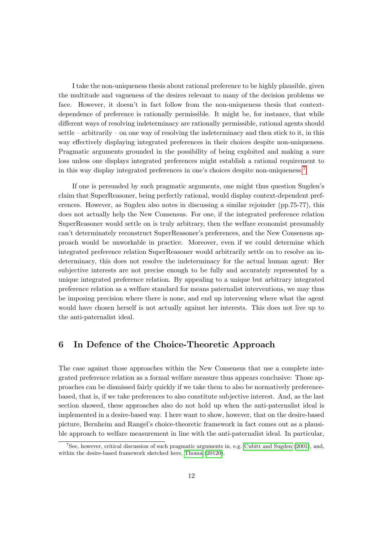I take the non-uniqueness thesis about rational preference to be highly plausible, given the multitude and vagueness of the desires relevant to many of the decision problems we face. However, it doesn't in fact follow from the non-uniqueness thesis that contextdependence of preference is rationally permissible. It might be, for instance, that while different ways of resolving indeterminacy are rationally permissible, rational agents should settle – arbitrarily – on one way of resolving the indeterminacy and then stick to it, in this way effectively displaying integrated preferences in their choices despite non-uniqueness. Pragmatic arguments grounded in the possibility of being exploited and making a sure loss unless one displays integrated preferences might establish a rational requirement to in this way display integrated preferences in one's choices despite non-uniqueness.<sup>7</sup>

If one is persuaded by such pragmatic arguments, one might thus question Sugden's claim that SuperReasoner, being perfectly rational, would display context-dependent preferences. However, as Sugden also notes in discussing a similar rejoinder (pp.75-77), this does not actually help the New Consensus. For one, if the integrated preference relation SuperReasoner would settle on is truly arbitrary, then the welfare economist presumably can't determinately reconstruct SuperReasoner's preferences, and the New Consensus approach would be unworkable in practice. Moreover, even if we could determine which integrated preference relation SuperReasoner would arbitrarily settle on to resolve an indeterminacy, this does not resolve the indeterminacy for the actual human agent: Her subjective interests are not precise enough to be fully and accurately represented by a unique integrated preference relation. By appealing to a unique but arbitrary integrated preference relation as a welfare standard for means paternalist interventions, we may thus be imposing precision where there is none, and end up intervening where what the agent would have chosen herself is not actually against her interests. This does not live up to the anti-paternalist ideal.

### 6 In Defence of the Choice-Theoretic Approach

The case against those approaches within the New Consensus that use a complete integrated preference relation as a formal welfare measure thus appears conclusive: Those approaches can be dismissed fairly quickly if we take them to also be normatively preferencebased, that is, if we take preferences to also constitute subjective interest. And, as the last section showed, these approaches also do not hold up when the anti-paternalist ideal is implemented in a desire-based way. I here want to show, however, that on the desire-based picture, Bernheim and Rangel's choice-theoretic framework in fact comes out as a plausible approach to welfare measurement in line with the anti-paternalist ideal. In particular,

<sup>&</sup>lt;sup>7</sup>See, however, critical discussion of such pragmatic arguments in, e.g. Cubitt and Sugden  $(2001)$ , and, within the desire-based framework sketched here, Thoma (20120).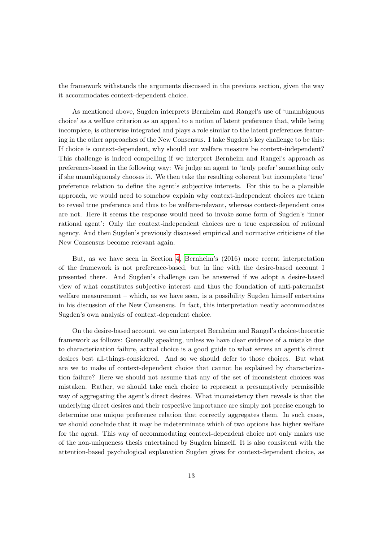the framework withstands the arguments discussed in the previous section, given the way it accommodates context-dependent choice.

As mentioned above, Sugden interprets Bernheim and Rangel's use of 'unambiguous choice' as a welfare criterion as an appeal to a notion of latent preference that, while being incomplete, is otherwise integrated and plays a role similar to the latent preferences featuring in the other approaches of the New Consensus. I take Sugden's key challenge to be this: If choice is context-dependent, why should our welfare measure be context-independent? This challenge is indeed compelling if we interpret Bernheim and Rangel's approach as preference-based in the following way: We judge an agent to 'truly prefer' something only if she unambiguously chooses it. We then take the resulting coherent but incomplete 'true' preference relation to define the agent's subjective interests. For this to be a plausible approach, we would need to somehow explain why context-independent choices are taken to reveal true preference and thus to be welfare-relevant, whereas context-dependent ones are not. Here it seems the response would need to invoke some form of Sugden's 'inner rational agent': Only the context-independent choices are a true expression of rational agency. And then Sugden's previously discussed empirical and normative criticisms of the New Consensus become relevant again.

But, as we have seen in Section  $\frac{1}{4}$  Bernheim's (2016) more recent interpretation of the framework is not preference-based, but in line with the desire-based account I presented there. And Sugden's challenge can be answered if we adopt a desire-based view of what constitutes subjective interest and thus the foundation of anti-paternalist welfare measurement – which, as we have seen, is a possibility Sugden himself entertains in his discussion of the New Consensus. In fact, this interpretation neatly accommodates Sugden's own analysis of context-dependent choice.

On the desire-based account, we can interpret Bernheim and Rangel's choice-theoretic framework as follows: Generally speaking, unless we have clear evidence of a mistake due to characterization failure, actual choice is a good guide to what serves an agent's direct desires best all-things-considered. And so we should defer to those choices. But what are we to make of context-dependent choice that cannot be explained by characterization failure? Here we should not assume that any of the set of inconsistent choices was mistaken. Rather, we should take each choice to represent a presumptively permissible way of aggregating the agent's direct desires. What inconsistency then reveals is that the underlying direct desires and their respective importance are simply not precise enough to determine one unique preference relation that correctly aggregates them. In such cases, we should conclude that it may be indeterminate which of two options has higher welfare for the agent. This way of accommodating context-dependent choice not only makes use of the non-uniqueness thesis entertained by Sugden himself. It is also consistent with the attention-based psychological explanation Sugden gives for context-dependent choice, as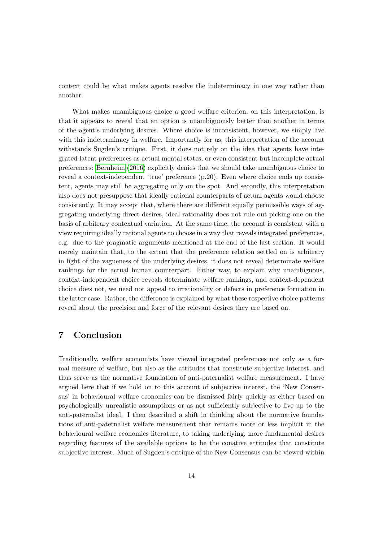context could be what makes agents resolve the indeterminacy in one way rather than another.

What makes unambiguous choice a good welfare criterion, on this interpretation, is that it appears to reveal that an option is unambiguously better than another in terms of the agent's underlying desires. Where choice is inconsistent, however, we simply live with this indeterminacy in welfare. Importantly for us, this interpretation of the account withstands Sugden's critique. First, it does not rely on the idea that agents have integrated latent preferences as actual mental states, or even consistent but incomplete actual preferences: Bernheim (2016) explicitly denies that we should take unambiguous choice to reveal a context-independent 'true' preference (p.20). Even where choice ends up consistent, agents may still be aggregating only on the spot. And secondly, this interpretation also does not presuppose that ideally rational counterparts of actual agents would choose consistently. It may accept that, where there are different equally permissible ways of aggregating underlying direct desires, ideal rationality does not rule out picking one on the basis of arbitrary contextual variation. At the same time, the account is consistent with a view requiring ideally rational agents to choose in a way that reveals integrated preferences, e.g. due to the pragmatic arguments mentioned at the end of the last section. It would merely maintain that, to the extent that the preference relation settled on is arbitrary in light of the vagueness of the underlying desires, it does not reveal determinate welfare rankings for the actual human counterpart. Either way, to explain why unambiguous, context-independent choice reveals determinate welfare rankings, and context-dependent choice does not, we need not appeal to irrationality or defects in preference formation in the latter case. Rather, the difference is explained by what these respective choice patterns reveal about the precision and force of the relevant desires they are based on.

### 7 Conclusion

Traditionally, welfare economists have viewed integrated preferences not only as a formal measure of welfare, but also as the attitudes that constitute subjective interest, and thus serve as the normative foundation of anti-paternalist welfare measurement. I have argued here that if we hold on to this account of subjective interest, the 'New Consensus' in behavioural welfare economics can be dismissed fairly quickly as either based on psychologically unrealistic assumptions or as not sufficiently subjective to live up to the anti-paternalist ideal. I then described a shift in thinking about the normative foundations of anti-paternalist welfare measurement that remains more or less implicit in the behavioural welfare economics literature, to taking underlying, more fundamental desires regarding features of the available options to be the conative attitudes that constitute subjective interest. Much of Sugden's critique of the New Consensus can be viewed within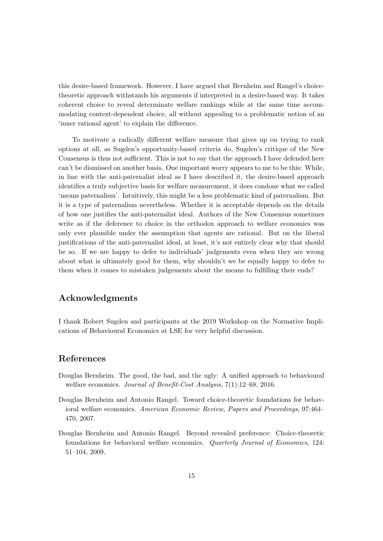this desire-based framework. However, I have argued that Bernheim and Rangel's choicetheoretic approach withstands his arguments if interpreted in a desire-based way. It takes coherent choice to reveal determinate welfare rankings while at the same time accommodating context-dependent choice, all without appealing to a problematic notion of an 'inner rational agent' to explain the difference.

To motivate a radically different welfare measure that gives up on trying to rank options at all, as Sugden's opportunity-based criteria do, Sugden's critique of the New Consensus is thus not sufficient. This is not to say that the approach I have defended here can't be dismissed on another basis. One important worry appears to me to be this: While, in line with the anti-paternalist ideal as I have described it, the desire-based approach identifies a truly subjective basis for welfare measurement, it does condone what we called 'means paternalism'. Intuitively, this might be a less problematic kind of paternalism. But it is a type of paternalism nevertheless. Whether it is acceptable depends on the details of how one justifies the anti-paternalist ideal. Authors of the New Consensus sometimes write as if the deference to choice in the orthodox approach to welfare economics was only ever plausible under the assumption that agents are rational. But on the liberal justifications of the anti-paternalist ideal, at least, it's not entirely clear why that should be so. If we are happy to defer to individuals' judgements even when they are wrong about what is ultimately good for them, why shouldn't we be equally happy to defer to them when it comes to mistaken judgements about the means to fulfilling their ends?

#### Acknowledgments

I thank Robert Sugden and participants at the 2019 Workshop on the Normative Implications of Behavioural Economics at LSE for very helpful discussion.

#### References

- Douglas Bernheim. The good, the bad, and the ugly: A unified approach to behavioural welfare economics. *Journal of Benefit-Cost Analysis*, 7(1):12–68, 2016.
- Douglas Bernheim and Antonio Rangel. Toward choice-theoretic foundations for behavioral welfare economics. *American Economic Review, Papers and Proceedings*, 97:464– 470, 2007.
- Douglas Bernheim and Antonio Rangel. Beyond revealed preference: Choice-theoretic foundations for behavioral welfare economics. *Quarterly Journal of Economics*, 124: 51–104, 2009.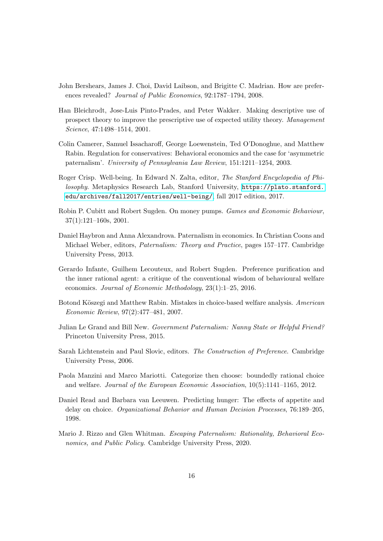- John Bershears, James J. Choi, David Laibson, and Brigitte C. Madrian. How are preferences revealed? *Journal of Public Economics*, 92:1787–1794, 2008.
- Han Bleichrodt, Jose-Luis Pinto-Prades, and Peter Wakker. Making descriptive use of prospect theory to improve the prescriptive use of expected utility theory. *Management Science*, 47:1498–1514, 2001.
- Colin Camerer, Samuel Issacharoff, George Loewenstein, Ted O'Donoghue, and Matthew Rabin. Regulation for conservatives: Behavioral economics and the case for 'asymmetric paternalism'. *University of Pennsylvania Law Review*, 151:1211–1254, 2003.
- Roger Crisp. Well-being. In Edward N. Zalta, editor, *The Stanford Encyclopedia of Philosophy*. Metaphysics Research Lab, Stanford University, https://plato.stanford. edu/archives/fall2017/entries/well-being/, fall 2017 edition, 2017.
- Robin P. Cubitt and Robert Sugden. On money pumps. *Games and Economic Behaviour*, 37(1):121–160s, 2001.
- Daniel Haybron and Anna Alexandrova. Paternalism in economics. In Christian Coons and Michael Weber, editors, *Paternalism: Theory and Practice*, pages 157–177. Cambridge University Press, 2013.
- Gerardo Infante, Guilhem Lecouteux, and Robert Sugden. Preference purification and the inner rational agent: a critique of the conventional wisdom of behavioural welfare economics. *Journal of Economic Methodology*, 23(1):1–25, 2016.
- Botond Köszegi and Matthew Rabin. Mistakes in choice-based welfare analysis. *American Economic Review*, 97(2):477–481, 2007.
- Julian Le Grand and Bill New. *Government Paternalism: Nanny State or Helpful Friend?* Princeton University Press, 2015.
- Sarah Lichtenstein and Paul Slovic, editors. *The Construction of Preference*. Cambridge University Press, 2006.
- Paola Manzini and Marco Mariotti. Categorize then choose: boundedly rational choice and welfare. *Journal of the European Economic Association*, 10(5):1141–1165, 2012.
- Daniel Read and Barbara van Leeuwen. Predicting hunger: The effects of appetite and delay on choice. *Organizational Behavior and Human Decision Processes*, 76:189–205, 1998.
- Mario J. Rizzo and Glen Whitman. *Escaping Paternalism: Rationality, Behavioral Economics, and Public Policy*. Cambridge University Press, 2020.